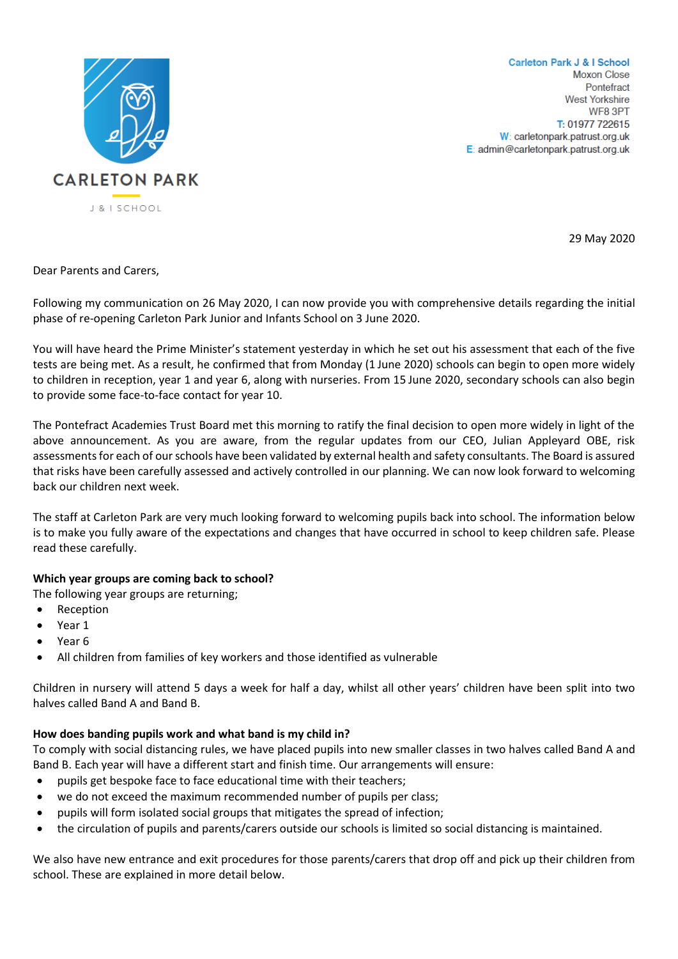

**Carleton Park J & I School Moxon Close** Pontefract **West Yorkshire** WF8 3PT T: 01977 722615 W: carletonpark.patrust.org.uk E: admin@carletonpark.patrust.org.uk

29 May 2020

Dear Parents and Carers,

Following my communication on 26 May 2020, I can now provide you with comprehensive details regarding the initial phase of re-opening Carleton Park Junior and Infants School on 3 June 2020.

You will have heard the Prime Minister's statement yesterday in which he set out his assessment that each of the five tests are being met. As a result, he confirmed that from Monday (1 June 2020) schools can begin to open more widely to children in reception, year 1 and year 6, along with nurseries. From 15 June 2020, secondary schools can also begin to provide some face-to-face contact for year 10.

The Pontefract Academies Trust Board met this morning to ratify the final decision to open more widely in light of the above announcement. As you are aware, from the regular updates from our CEO, Julian Appleyard OBE, risk assessments for each of our schools have been validated by external health and safety consultants. The Board is assured that risks have been carefully assessed and actively controlled in our planning. We can now look forward to welcoming back our children next week.

The staff at Carleton Park are very much looking forward to welcoming pupils back into school. The information below is to make you fully aware of the expectations and changes that have occurred in school to keep children safe. Please read these carefully.

### **Which year groups are coming back to school?**

The following year groups are returning;

- Reception
- Year 1
- Year 6
- All children from families of key workers and those identified as vulnerable

Children in nursery will attend 5 days a week for half a day, whilst all other years' children have been split into two halves called Band A and Band B.

### **How does banding pupils work and what band is my child in?**

To comply with social distancing rules, we have placed pupils into new smaller classes in two halves called Band A and Band B. Each year will have a different start and finish time. Our arrangements will ensure:

- pupils get bespoke face to face educational time with their teachers;
- we do not exceed the maximum recommended number of pupils per class;
- pupils will form isolated social groups that mitigates the spread of infection;
- the circulation of pupils and parents/carers outside our schools is limited so social distancing is maintained.

We also have new entrance and exit procedures for those parents/carers that drop off and pick up their children from school. These are explained in more detail below.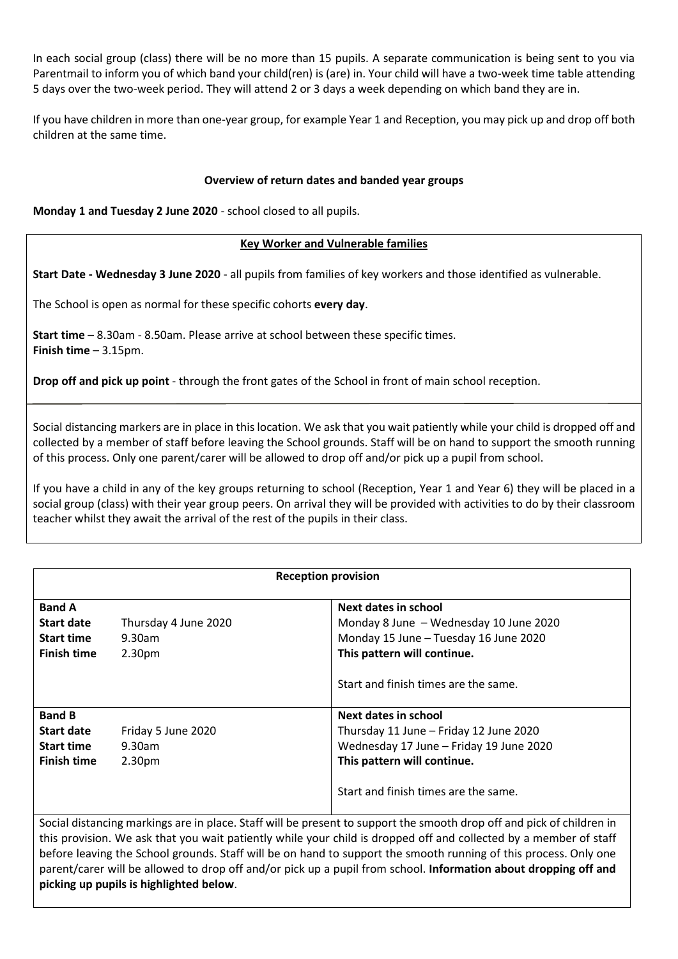In each social group (class) there will be no more than 15 pupils. A separate communication is being sent to you via Parentmail to inform you of which band your child(ren) is (are) in. Your child will have a two-week time table attending 5 days over the two-week period. They will attend 2 or 3 days a week depending on which band they are in.

If you have children in more than one-year group, for example Year 1 and Reception, you may pick up and drop off both children at the same time.

### **Overview of return dates and banded year groups**

**Monday 1 and Tuesday 2 June 2020** - school closed to all pupils.

## **Key Worker and Vulnerable families**

**Start Date - Wednesday 3 June 2020** - all pupils from families of key workers and those identified as vulnerable.

The School is open as normal for these specific cohorts **every day**.

**Start time** – 8.30am - 8.50am. Please arrive at school between these specific times. **Finish time** – 3.15pm.

**Drop off and pick up point** - through the front gates of the School in front of main school reception.

Social distancing markers are in place in this location. We ask that you wait patiently while your child is dropped off and collected by a member of staff before leaving the School grounds. Staff will be on hand to support the smooth running of this process. Only one parent/carer will be allowed to drop off and/or pick up a pupil from school.

If you have a child in any of the key groups returning to school (Reception, Year 1 and Year 6) they will be placed in a social group (class) with their year group peers. On arrival they will be provided with activities to do by their classroom teacher whilst they await the arrival of the rest of the pupils in their class.

| <b>Reception provision</b>                                                                                            |                      |                                         |  |
|-----------------------------------------------------------------------------------------------------------------------|----------------------|-----------------------------------------|--|
| <b>Band A</b>                                                                                                         |                      | <b>Next dates in school</b>             |  |
| <b>Start date</b>                                                                                                     | Thursday 4 June 2020 | Monday 8 June - Wednesday 10 June 2020  |  |
| <b>Start time</b>                                                                                                     | $9.30$ am            | Monday 15 June - Tuesday 16 June 2020   |  |
| <b>Finish time</b>                                                                                                    | 2.30 <sub>pm</sub>   | This pattern will continue.             |  |
|                                                                                                                       |                      | Start and finish times are the same.    |  |
| <b>Band B</b>                                                                                                         |                      | Next dates in school                    |  |
| <b>Start date</b>                                                                                                     | Friday 5 June 2020   | Thursday 11 June - Friday 12 June 2020  |  |
| <b>Start time</b>                                                                                                     | $9.30$ am            | Wednesday 17 June - Friday 19 June 2020 |  |
| <b>Finish time</b>                                                                                                    | 2.30 <sub>pm</sub>   | This pattern will continue.             |  |
|                                                                                                                       |                      | Start and finish times are the same.    |  |
| Social distancing markings are in place. Staff will be present to support the smooth drop off and pick of children in |                      |                                         |  |
| this provision. We ask that you wait patiently while your child is dropped off and collected by a member of staff     |                      |                                         |  |
| before leaving the School grounds. Staff will be on hand to support the smooth running of this process. Only one      |                      |                                         |  |
| parent/carer will be allowed to drop off and/or pick up a pupil from school. Information about dropping off and       |                      |                                         |  |

#### **picking up pupils is highlighted below**.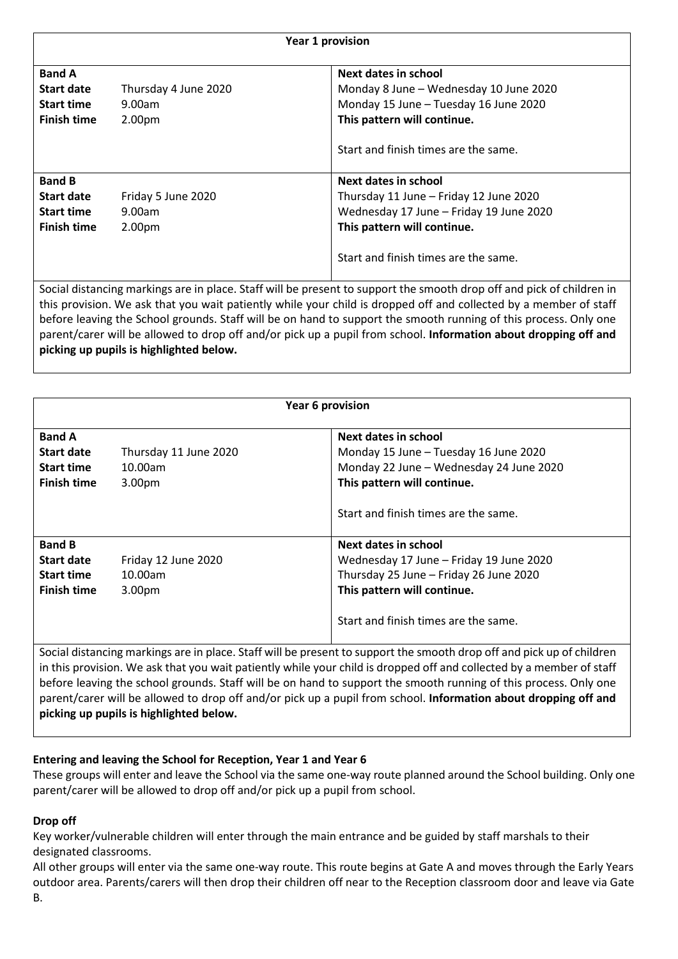| Year 1 provision   |                                         |                                                                                                                                                                                                                                                                                                                                                                                                                                                                                   |  |
|--------------------|-----------------------------------------|-----------------------------------------------------------------------------------------------------------------------------------------------------------------------------------------------------------------------------------------------------------------------------------------------------------------------------------------------------------------------------------------------------------------------------------------------------------------------------------|--|
| <b>Band A</b>      |                                         | Next dates in school                                                                                                                                                                                                                                                                                                                                                                                                                                                              |  |
| <b>Start date</b>  | Thursday 4 June 2020                    | Monday 8 June - Wednesday 10 June 2020                                                                                                                                                                                                                                                                                                                                                                                                                                            |  |
| <b>Start time</b>  | 9.00am                                  | Monday 15 June - Tuesday 16 June 2020                                                                                                                                                                                                                                                                                                                                                                                                                                             |  |
| <b>Finish time</b> | 2.00pm                                  | This pattern will continue.                                                                                                                                                                                                                                                                                                                                                                                                                                                       |  |
|                    |                                         | Start and finish times are the same.                                                                                                                                                                                                                                                                                                                                                                                                                                              |  |
| <b>Band B</b>      |                                         | Next dates in school                                                                                                                                                                                                                                                                                                                                                                                                                                                              |  |
| <b>Start date</b>  | Friday 5 June 2020                      | Thursday 11 June - Friday 12 June 2020                                                                                                                                                                                                                                                                                                                                                                                                                                            |  |
| <b>Start time</b>  | 9.00am                                  | Wednesday 17 June - Friday 19 June 2020                                                                                                                                                                                                                                                                                                                                                                                                                                           |  |
| <b>Finish time</b> | 2.00 <sub>pm</sub>                      | This pattern will continue.                                                                                                                                                                                                                                                                                                                                                                                                                                                       |  |
|                    |                                         | Start and finish times are the same.                                                                                                                                                                                                                                                                                                                                                                                                                                              |  |
|                    | picking up pupils is highlighted below. | Social distancing markings are in place. Staff will be present to support the smooth drop off and pick of children in<br>this provision. We ask that you wait patiently while your child is dropped off and collected by a member of staff<br>before leaving the School grounds. Staff will be on hand to support the smooth running of this process. Only one<br>parent/carer will be allowed to drop off and/or pick up a pupil from school. Information about dropping off and |  |

| Year 6 provision                                                                                                      |                                                        |                                                                                                                                                                                  |  |
|-----------------------------------------------------------------------------------------------------------------------|--------------------------------------------------------|----------------------------------------------------------------------------------------------------------------------------------------------------------------------------------|--|
| <b>Band A</b><br>Start date<br><b>Start time</b><br>Finish time                                                       | Thursday 11 June 2020<br>10.00am<br>3.00 <sub>pm</sub> | Next dates in school<br>Monday 15 June - Tuesday 16 June 2020<br>Monday 22 June - Wednesday 24 June 2020<br>This pattern will continue.                                          |  |
|                                                                                                                       |                                                        | Start and finish times are the same.                                                                                                                                             |  |
| <b>Band B</b><br>Start date<br><b>Start time</b><br><b>Finish time</b>                                                | Friday 12 June 2020<br>10.00am<br>3.00 <sub>pm</sub>   | Next dates in school<br>Wednesday 17 June – Friday 19 June 2020<br>Thursday 25 June - Friday 26 June 2020<br>This pattern will continue.<br>Start and finish times are the same. |  |
| Social distancing markings are in place. Staff will be present to support the smooth drop off and pick up of children |                                                        |                                                                                                                                                                                  |  |

in this provision. We ask that you wait patiently while your child is dropped off and collected by a member of staff before leaving the school grounds. Staff will be on hand to support the smooth running of this process. Only one parent/carer will be allowed to drop off and/or pick up a pupil from school. **Information about dropping off and picking up pupils is highlighted below.**

# **Entering and leaving the School for Reception, Year 1 and Year 6**

These groups will enter and leave the School via the same one-way route planned around the School building. Only one parent/carer will be allowed to drop off and/or pick up a pupil from school.

# **Drop off**

Key worker/vulnerable children will enter through the main entrance and be guided by staff marshals to their designated classrooms.

All other groups will enter via the same one-way route. This route begins at Gate A and moves through the Early Years outdoor area. Parents/carers will then drop their children off near to the Reception classroom door and leave via Gate B.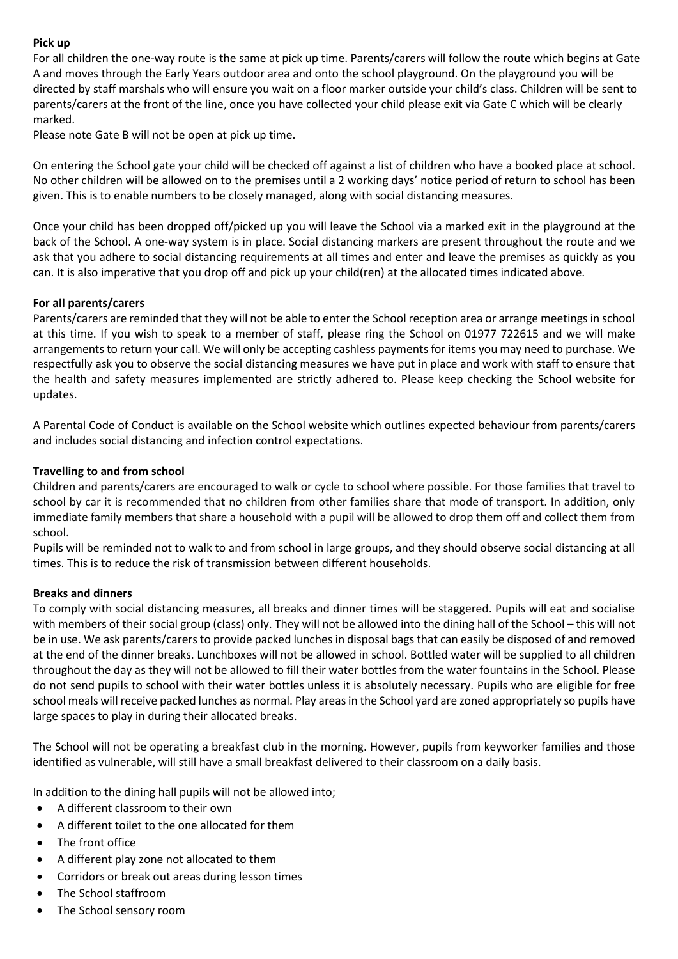## **Pick up**

For all children the one-way route is the same at pick up time. Parents/carers will follow the route which begins at Gate A and moves through the Early Years outdoor area and onto the school playground. On the playground you will be directed by staff marshals who will ensure you wait on a floor marker outside your child's class. Children will be sent to parents/carers at the front of the line, once you have collected your child please exit via Gate C which will be clearly marked.

Please note Gate B will not be open at pick up time.

On entering the School gate your child will be checked off against a list of children who have a booked place at school. No other children will be allowed on to the premises until a 2 working days' notice period of return to school has been given. This is to enable numbers to be closely managed, along with social distancing measures.

Once your child has been dropped off/picked up you will leave the School via a marked exit in the playground at the back of the School. A one-way system is in place. Social distancing markers are present throughout the route and we ask that you adhere to social distancing requirements at all times and enter and leave the premises as quickly as you can. It is also imperative that you drop off and pick up your child(ren) at the allocated times indicated above.

### **For all parents/carers**

Parents/carers are reminded that they will not be able to enter the School reception area or arrange meetings in school at this time. If you wish to speak to a member of staff, please ring the School on 01977 722615 and we will make arrangements to return your call. We will only be accepting cashless payments for items you may need to purchase. We respectfully ask you to observe the social distancing measures we have put in place and work with staff to ensure that the health and safety measures implemented are strictly adhered to. Please keep checking the School website for updates.

A Parental Code of Conduct is available on the School website which outlines expected behaviour from parents/carers and includes social distancing and infection control expectations.

## **Travelling to and from school**

Children and parents/carers are encouraged to walk or cycle to school where possible. For those families that travel to school by car it is recommended that no children from other families share that mode of transport. In addition, only immediate family members that share a household with a pupil will be allowed to drop them off and collect them from school.

Pupils will be reminded not to walk to and from school in large groups, and they should observe social distancing at all times. This is to reduce the risk of transmission between different households.

### **Breaks and dinners**

To comply with social distancing measures, all breaks and dinner times will be staggered. Pupils will eat and socialise with members of their social group (class) only. They will not be allowed into the dining hall of the School – this will not be in use. We ask parents/carers to provide packed lunches in disposal bags that can easily be disposed of and removed at the end of the dinner breaks. Lunchboxes will not be allowed in school. Bottled water will be supplied to all children throughout the day as they will not be allowed to fill their water bottles from the water fountains in the School. Please do not send pupils to school with their water bottles unless it is absolutely necessary. Pupils who are eligible for free school meals will receive packed lunches as normal. Play areas in the School yard are zoned appropriately so pupils have large spaces to play in during their allocated breaks.

The School will not be operating a breakfast club in the morning. However, pupils from keyworker families and those identified as vulnerable, will still have a small breakfast delivered to their classroom on a daily basis.

In addition to the dining hall pupils will not be allowed into;

- A different classroom to their own
- A different toilet to the one allocated for them
- The front office
- A different play zone not allocated to them
- Corridors or break out areas during lesson times
- The School staffroom
- The School sensory room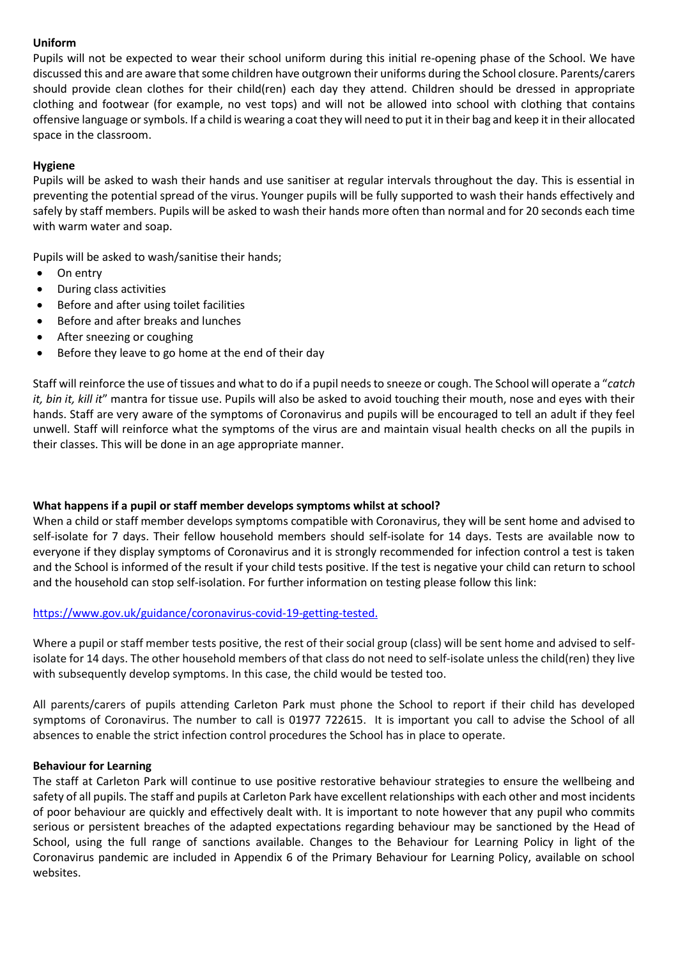## **Uniform**

Pupils will not be expected to wear their school uniform during this initial re-opening phase of the School. We have discussed this and are aware that some children have outgrown their uniforms during the School closure. Parents/carers should provide clean clothes for their child(ren) each day they attend. Children should be dressed in appropriate clothing and footwear (for example, no vest tops) and will not be allowed into school with clothing that contains offensive language orsymbols. If a child is wearing a coat they will need to put it in their bag and keep it in their allocated space in the classroom.

## **Hygiene**

Pupils will be asked to wash their hands and use sanitiser at regular intervals throughout the day. This is essential in preventing the potential spread of the virus. Younger pupils will be fully supported to wash their hands effectively and safely by staff members. Pupils will be asked to wash their hands more often than normal and for 20 seconds each time with warm water and soap.

Pupils will be asked to wash/sanitise their hands;

- On entry
- During class activities
- Before and after using toilet facilities
- Before and after breaks and lunches
- After sneezing or coughing
- Before they leave to go home at the end of their day

Staff will reinforce the use of tissues and what to do if a pupil needs to sneeze or cough. The School will operate a "*catch it, bin it, kill it*" mantra for tissue use. Pupils will also be asked to avoid touching their mouth, nose and eyes with their hands. Staff are very aware of the symptoms of Coronavirus and pupils will be encouraged to tell an adult if they feel unwell. Staff will reinforce what the symptoms of the virus are and maintain visual health checks on all the pupils in their classes. This will be done in an age appropriate manner.

### **What happens if a pupil or staff member develops symptoms whilst at school?**

When a child or staff member develops symptoms compatible with Coronavirus, they will be sent home and advised to self-isolate for 7 days. Their fellow household members should self-isolate for 14 days. Tests are available now to everyone if they display symptoms of Coronavirus and it is strongly recommended for infection control a test is taken and the School is informed of the result if your child tests positive. If the test is negative your child can return to school and the household can stop self-isolation. For further information on testing please follow this link:

### [https://www.gov.uk/guidance/coronavirus-covid-19-getting-tested.](https://www.gov.uk/guidance/coronavirus-covid-19-getting-tested)

Where a pupil or staff member tests positive, the rest of their social group (class) will be sent home and advised to selfisolate for 14 days. The other household members of that class do not need to self-isolate unless the child(ren) they live with subsequently develop symptoms. In this case, the child would be tested too.

All parents/carers of pupils attending Carleton Park must phone the School to report if their child has developed symptoms of Coronavirus. The number to call is 01977 722615. It is important you call to advise the School of all absences to enable the strict infection control procedures the School has in place to operate.

### **Behaviour for Learning**

The staff at Carleton Park will continue to use positive restorative behaviour strategies to ensure the wellbeing and safety of all pupils. The staff and pupils at Carleton Park have excellent relationships with each other and most incidents of poor behaviour are quickly and effectively dealt with. It is important to note however that any pupil who commits serious or persistent breaches of the adapted expectations regarding behaviour may be sanctioned by the Head of School, using the full range of sanctions available. Changes to the Behaviour for Learning Policy in light of the Coronavirus pandemic are included in Appendix 6 of the Primary Behaviour for Learning Policy, available on school websites.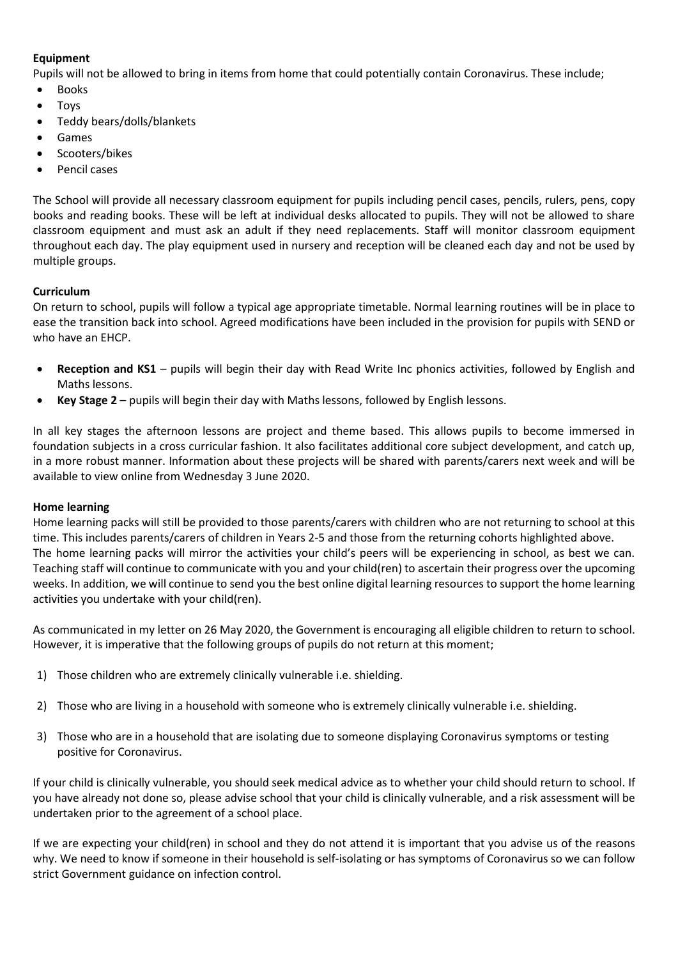# **Equipment**

Pupils will not be allowed to bring in items from home that could potentially contain Coronavirus. These include;

- Books
- Toys
- Teddy bears/dolls/blankets
- Games
- Scooters/bikes
- Pencil cases

The School will provide all necessary classroom equipment for pupils including pencil cases, pencils, rulers, pens, copy books and reading books. These will be left at individual desks allocated to pupils. They will not be allowed to share classroom equipment and must ask an adult if they need replacements. Staff will monitor classroom equipment throughout each day. The play equipment used in nursery and reception will be cleaned each day and not be used by multiple groups.

# **Curriculum**

On return to school, pupils will follow a typical age appropriate timetable. Normal learning routines will be in place to ease the transition back into school. Agreed modifications have been included in the provision for pupils with SEND or who have an EHCP.

- **Reception and KS1** pupils will begin their day with Read Write Inc phonics activities, followed by English and Maths lessons.
- **Key Stage 2** pupils will begin their day with Maths lessons, followed by English lessons.

In all key stages the afternoon lessons are project and theme based. This allows pupils to become immersed in foundation subjects in a cross curricular fashion. It also facilitates additional core subject development, and catch up, in a more robust manner. Information about these projects will be shared with parents/carers next week and will be available to view online from Wednesday 3 June 2020.

### **Home learning**

Home learning packs will still be provided to those parents/carers with children who are not returning to school at this time. This includes parents/carers of children in Years 2-5 and those from the returning cohorts highlighted above. The home learning packs will mirror the activities your child's peers will be experiencing in school, as best we can. Teaching staff will continue to communicate with you and your child(ren) to ascertain their progress over the upcoming weeks. In addition, we will continue to send you the best online digital learning resources to support the home learning activities you undertake with your child(ren).

As communicated in my letter on 26 May 2020, the Government is encouraging all eligible children to return to school. However, it is imperative that the following groups of pupils do not return at this moment;

- 1) Those children who are extremely clinically vulnerable i.e. shielding.
- 2) Those who are living in a household with someone who is extremely clinically vulnerable i.e. shielding.
- 3) Those who are in a household that are isolating due to someone displaying Coronavirus symptoms or testing positive for Coronavirus.

If your child is clinically vulnerable, you should seek medical advice as to whether your child should return to school. If you have already not done so, please advise school that your child is clinically vulnerable, and a risk assessment will be undertaken prior to the agreement of a school place.

If we are expecting your child(ren) in school and they do not attend it is important that you advise us of the reasons why. We need to know if someone in their household is self-isolating or has symptoms of Coronavirus so we can follow strict Government guidance on infection control.